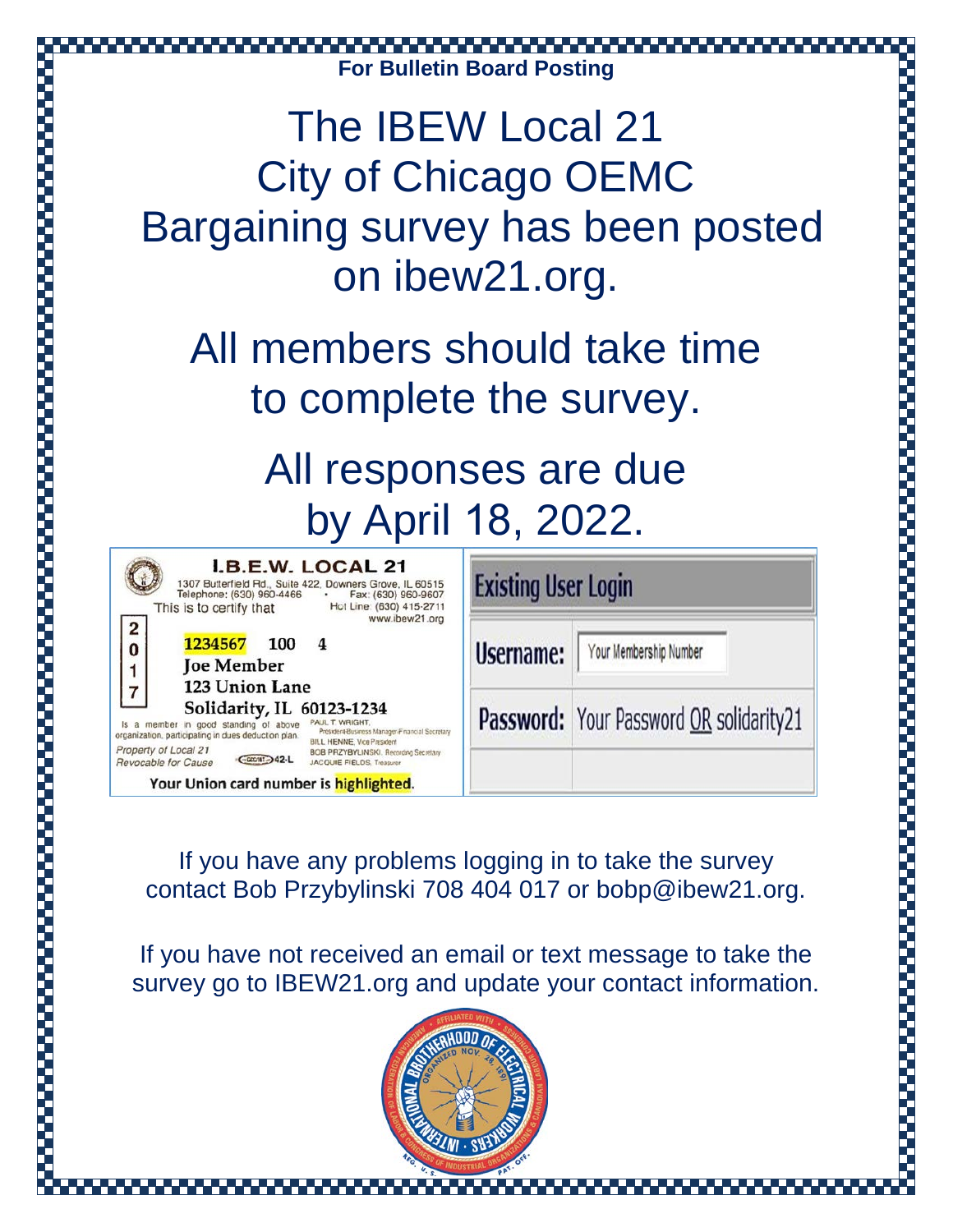## **For Bulletin Board Posting**

## The IBEW Local 21 City of Chicago OEMC Bargaining survey has been posted on ibew21.org.

All members should take time to complete the survey.

> All responses are due by April 18, 2022.

| <b>I.B.E.W. LOCAL 21</b><br>1307 Butterfield Rd., Suite 422, Downers Grove, IL 60515<br>Telephone: (630) 960-4466 .<br>Fax: (630) 960-9607<br>Hot Line: (630) 415-2711<br>This is to certify that                           | <b>Existing</b> |
|-----------------------------------------------------------------------------------------------------------------------------------------------------------------------------------------------------------------------------|-----------------|
| www.ibew21.org<br>$\frac{2}{0}$<br>1234567<br>100<br><b>Joe Member</b><br>123 Union Lane                                                                                                                                    | <b>Usernam</b>  |
| Solidarity, IL 60123-1234<br>PAUL T. WRIGHT.<br>Is a member in good standing of above<br>President-Business Manager Financial Secretary<br>rganization, participating in dues deduction plan.<br>BILL HENNE, Vice President | Passwor         |
| Property of Local 21<br>BOB PRZYBYLINSKI, Recording Secretary<br>Revocable for Cause<br><b>JACQUIE FIELDS, Treasurer</b>                                                                                                    |                 |

Your Union card number is highlighted.

| <b>Existing User Login</b> |                                         |  |
|----------------------------|-----------------------------------------|--|
| Username:                  | Your Membership Number                  |  |
|                            | Password: Your Password OR solidarity21 |  |

If you have any problems logging in to take the survey contact Bob Przybylinski 708 404 017 or bobp@ibew21.org.

If you have not received an email or text message to take the survey go to IBEW21.org and update your contact information.